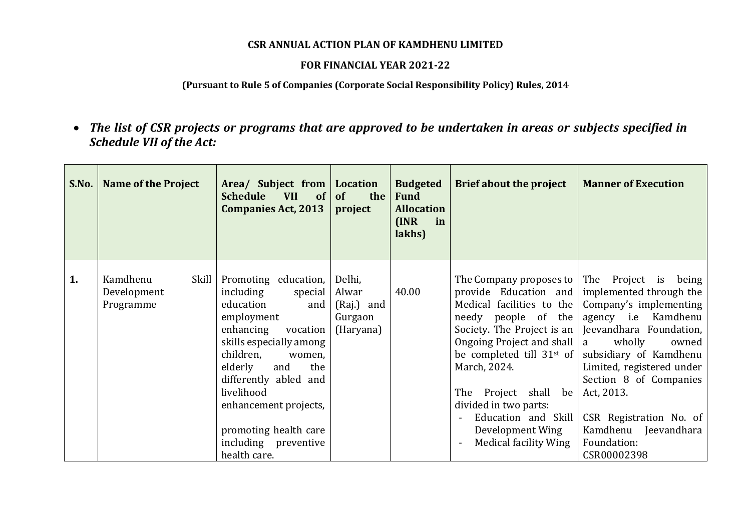### **CSR ANNUAL ACTION PLAN OF KAMDHENU LIMITED**

#### **FOR FINANCIAL YEAR 2021-22**

### **(Pursuant to Rule 5 of Companies (Corporate Social Responsibility Policy) Rules, 2014**

 *The list of CSR projects or programs that are approved to be undertaken in areas or subjects specified in Schedule VII of the Act:*

| S.No. | <b>Name of the Project</b>                    | Area/ Subject from   Location<br><b>Schedule</b><br><b>VII</b><br>of<br><b>Companies Act, 2013</b>                                                                                                                                                                                                                                     | of<br>the  <br>project                                | <b>Budgeted</b><br><b>Fund</b><br><b>Allocation</b><br>(INR)<br>in<br>lakhs) | <b>Brief about the project</b>                                                                                                                                                                                                                                                                                       | <b>Manner of Execution</b>                                                                                                                                                                                                                                                                                                                                          |
|-------|-----------------------------------------------|----------------------------------------------------------------------------------------------------------------------------------------------------------------------------------------------------------------------------------------------------------------------------------------------------------------------------------------|-------------------------------------------------------|------------------------------------------------------------------------------|----------------------------------------------------------------------------------------------------------------------------------------------------------------------------------------------------------------------------------------------------------------------------------------------------------------------|---------------------------------------------------------------------------------------------------------------------------------------------------------------------------------------------------------------------------------------------------------------------------------------------------------------------------------------------------------------------|
| 1.    | Kamdhenu<br>Skill<br>Development<br>Programme | Promoting education,<br>including<br>special  <br>education<br>$and$ $\blacksquare$<br>employment<br>enhancing<br>vocation<br>skills especially among<br>children,<br>women,<br>elderly<br>the<br>and<br>differently abled and<br>livelihood<br>enhancement projects,<br>promoting health care<br>including preventive<br>health care. | Delhi,<br>Alwar<br>(Raj.) and<br>Gurgaon<br>(Haryana) | 40.00                                                                        | provide Education and<br>Medical facilities to the<br>needy people of the<br>Society. The Project is an<br>Ongoing Project and shall  <br>be completed till $31^{st}$ of<br>March, 2024.<br>The Project shall be<br>divided in two parts:<br>Education and Skill<br>Development Wing<br><b>Medical facility Wing</b> | The Company proposes to $\vert$ The Project is being<br>implemented through the<br>Company's implementing<br>agency i.e Kamdhenu<br>Jeevandhara Foundation,<br>wholly<br>owned<br>a<br>subsidiary of Kamdhenu<br>Limited, registered under<br>Section 8 of Companies<br>Act, 2013.<br>CSR Registration No. of<br>Kamdhenu Jeevandhara<br>Foundation:<br>CSR00002398 |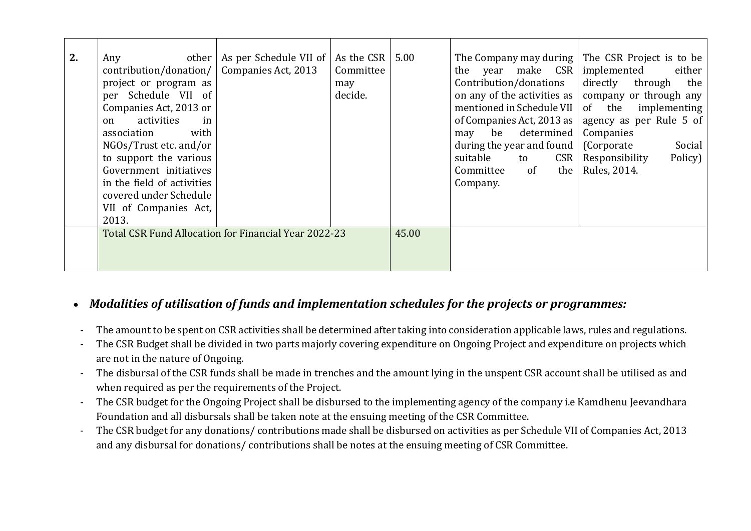| 2. | other  <br>Any<br>contribution/donation/<br>project or program as<br>per Schedule VII of<br>Companies Act, 2013 or<br>activities<br>in<br>on<br>with<br>association<br>NGOs/Trust etc. and/or<br>to support the various<br>Government initiatives<br>in the field of activities<br>covered under Schedule<br>VII of Companies Act,<br>2013. | As per Schedule VII of<br>Companies Act, 2013 | As the CSR $\vert 5.00 \rangle$<br>Committee<br>may<br>decide. |       | the year make CSR<br>Contribution/donations<br>mentioned in Schedule VII<br>of Companies Act, 2013 as<br>be determined<br>may<br>during the year and found<br>suitable<br>CSR<br>to<br>Committee<br><sub>of</sub><br>the<br>Company. | The Company may during   The CSR Project is to be<br>implemented<br>either<br>directly through<br>the<br>on any of the activities as $\vert$ company or through any<br>of the implementing<br>agency as per Rule 5 of<br>Companies<br>(Corporate<br>Social<br>Responsibility<br>Policy)<br>Rules, 2014. |
|----|---------------------------------------------------------------------------------------------------------------------------------------------------------------------------------------------------------------------------------------------------------------------------------------------------------------------------------------------|-----------------------------------------------|----------------------------------------------------------------|-------|--------------------------------------------------------------------------------------------------------------------------------------------------------------------------------------------------------------------------------------|---------------------------------------------------------------------------------------------------------------------------------------------------------------------------------------------------------------------------------------------------------------------------------------------------------|
|    | Total CSR Fund Allocation for Financial Year 2022-23                                                                                                                                                                                                                                                                                        |                                               |                                                                | 45.00 |                                                                                                                                                                                                                                      |                                                                                                                                                                                                                                                                                                         |

## *Modalities of utilisation of funds and implementation schedules for the projects or programmes:*

- The amount to be spent on CSR activities shall be determined after taking into consideration applicable laws, rules and regulations.
- The CSR Budget shall be divided in two parts majorly covering expenditure on Ongoing Project and expenditure on projects which are not in the nature of Ongoing.
- The disbursal of the CSR funds shall be made in trenches and the amount lying in the unspent CSR account shall be utilised as and when required as per the requirements of the Project.
- The CSR budget for the Ongoing Project shall be disbursed to the implementing agency of the company i.e Kamdhenu Jeevandhara Foundation and all disbursals shall be taken note at the ensuing meeting of the CSR Committee.
- The CSR budget for any donations/ contributions made shall be disbursed on activities as per Schedule VII of Companies Act, 2013 and any disbursal for donations/ contributions shall be notes at the ensuing meeting of CSR Committee.